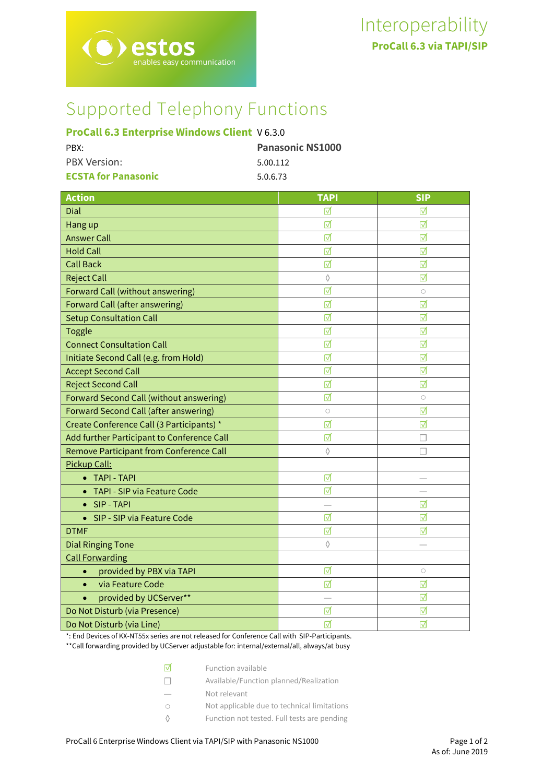# Supported Telephony Functions

# **ProCall 6.3 Enterprise Windows Client** V 6.3.0

tos nables easy communication

| PBX:                       | <b>Panasonic NS1000</b> |
|----------------------------|-------------------------|
| <b>PBX Version:</b>        | 5.00.112                |
| <b>ECSTA for Panasonic</b> | 5.0.6.73                |

| <b>Action</b>                                | <b>TAPI</b> | <b>SIP</b> |
|----------------------------------------------|-------------|------------|
| Dial                                         | ⋈           | ⋈          |
| Hang up                                      | ☑           | ⊽          |
| <b>Answer Call</b>                           | ☑           | ☑          |
| <b>Hold Call</b>                             | ☑           | ☑          |
| <b>Call Back</b>                             | ☑           | ☑          |
| <b>Reject Call</b>                           | $\Diamond$  | ☑          |
| <b>Forward Call (without answering)</b>      | ⊺⊽          | $\circ$    |
| <b>Forward Call (after answering)</b>        | ⊺⊽          | ⊽          |
| <b>Setup Consultation Call</b>               | ☑           | ⊽          |
| <b>Toggle</b>                                | ☑           | ☑          |
| <b>Connect Consultation Call</b>             | ☑           | ☑          |
| Initiate Second Call (e.g. from Hold)        | ☑           | ☑          |
| <b>Accept Second Call</b>                    | ☑           | ☑          |
| <b>Reject Second Call</b>                    | ⊺⊽          | ⊽          |
| Forward Second Call (without answering)      | ☑           | $\bigcirc$ |
| <b>Forward Second Call (after answering)</b> | $\bigcirc$  | ⊽          |
| Create Conference Call (3 Participants) *    | ☑           | ☑          |
| Add further Participant to Conference Call   | ☑           | П          |
| Remove Participant from Conference Call      | $\Diamond$  |            |
| Pickup Call:                                 |             |            |
| • TAPI - TAPI                                | ☑           |            |
| <b>TAPI - SIP via Feature Code</b>           | ⊺⊽          |            |
| SIP - TAPI                                   |             | ⊽          |
| SIP - SIP via Feature Code<br>$\bullet$      | ☑           | ☑          |
| <b>DTMF</b>                                  | ☑           | ⊺⊽         |
| <b>Dial Ringing Tone</b>                     | $\Diamond$  |            |
| <b>Call Forwarding</b>                       |             |            |
| provided by PBX via TAPI<br>$\bullet$        | ☑           | $\bigcirc$ |
| via Feature Code<br>$\bullet$                | ⊺⊽          | ⊽          |
| provided by UCServer**<br>$\bullet$          |             | ☑          |
| Do Not Disturb (via Presence)                | ☑           | ⊽          |
| Do Not Disturb (via Line)                    | ☑           | ☑          |

\*: End Devices of KX-NT55x series are not released for Conference Call with SIP-Participants.

\*\*Call forwarding provided by UCServer adjustable for: internal/external/all, always/at busy

| Iм     | Function available                          |
|--------|---------------------------------------------|
| $\Box$ | Available/Function planned/Realization      |
|        | Not relevant                                |
| ∩      | Not applicable due to technical limitations |
|        | Function not tested. Full tests are pending |